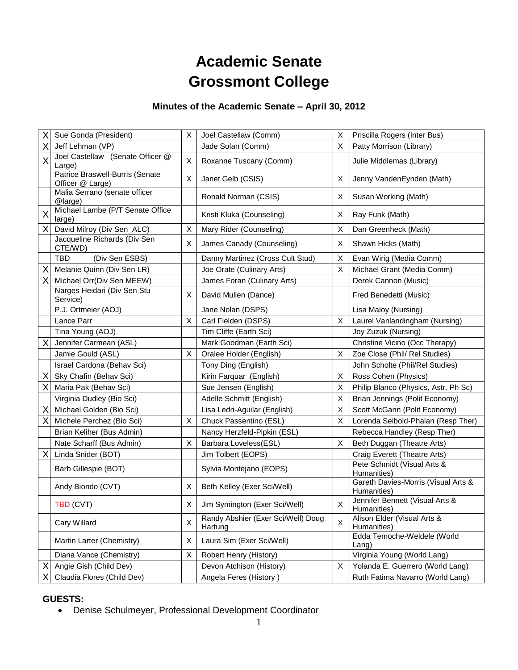# **Academic Senate Grossmont College**

### **Minutes of the Academic Senate – April 30, 2012**

| Χ | Sue Gonda (President)                               | X | Joel Castellaw (Comm)                         | X       | Priscilla Rogers (Inter Bus)                       |
|---|-----------------------------------------------------|---|-----------------------------------------------|---------|----------------------------------------------------|
| X | Jeff Lehman (VP)                                    |   | Jade Solan (Comm)                             | $\sf X$ | Patty Morrison (Library)                           |
| X | Joel Castellaw (Senate Officer @<br>Large)          | X | Roxanne Tuscany (Comm)                        |         | Julie Middlemas (Library)                          |
|   | Patrice Braswell-Burris (Senate<br>Officer @ Large) | X | Janet Gelb (CSIS)                             | X       | Jenny VandenEynden (Math)                          |
|   | Malia Serrano (senate officer<br>@large)            |   | Ronald Norman (CSIS)                          | Χ       | Susan Working (Math)                               |
| X | Michael Lambe (P/T Senate Office<br>large)          |   | Kristi Kluka (Counseling)                     | Χ       | Ray Funk (Math)                                    |
| X | David Milroy (Div Sen ALC)                          | X | Mary Rider (Counseling)                       | X       | Dan Greenheck (Math)                               |
|   | Jacqueline Richards (Div Sen<br>CTE/WD)             | X | James Canady (Counseling)                     | Χ       | Shawn Hicks (Math)                                 |
|   | (Div Sen ESBS)<br>TBD                               |   | Danny Martinez (Cross Cult Stud)              | X       | Evan Wirig (Media Comm)                            |
| Χ | Melanie Quinn (Div Sen LR)                          |   | Joe Orate (Culinary Arts)                     | Χ       | Michael Grant (Media Comm)                         |
| Χ | Michael Orr(Div Sen MEEW)                           |   | James Foran (Culinary Arts)                   |         | Derek Cannon (Music)                               |
|   | Narges Heidari (Div Sen Stu<br>Service)             | Х | David Mullen (Dance)                          |         | Fred Benedetti (Music)                             |
|   | P.J. Ortmeier (AOJ)                                 |   | Jane Nolan (DSPS)                             |         | Lisa Maloy (Nursing)                               |
|   | Lance Parr                                          | X | Carl Fielden (DSPS)                           | X       | Laurel Vanlandingham (Nursing)                     |
|   | Tina Young (AOJ)                                    |   | Tim Cliffe (Earth Sci)                        |         | Joy Zuzuk (Nursing)                                |
| Χ | Jennifer Carmean (ASL)                              |   | Mark Goodman (Earth Sci)                      |         | Christine Vicino (Occ Therapy)                     |
|   | Jamie Gould (ASL)                                   | X | Oralee Holder (English)                       | X       | Zoe Close (Phil/ Rel Studies)                      |
|   | Israel Cardona (Behav Sci)                          |   | Tony Ding (English)                           |         | John Scholte (Phil/Rel Studies)                    |
| X | Sky Chafin (Behav Sci)                              |   | Kirin Farquar (English)                       | X       | Ross Cohen (Physics)                               |
| Χ | Maria Pak (Behav Sci)                               |   | Sue Jensen (English)                          | X       | Philip Blanco (Physics, Astr. Ph Sc)               |
|   | Virginia Dudley (Bio Sci)                           |   | Adelle Schmitt (English)                      | X       | Brian Jennings (Polit Economy)                     |
| X | Michael Golden (Bio Sci)                            |   | Lisa Ledri-Aguilar (English)                  | X       | Scott McGann (Polit Economy)                       |
| X | Michele Perchez (Bio Sci)                           | X | Chuck Passentino (ESL)                        | X       | Lorenda Seibold-Phalan (Resp Ther)                 |
|   | Brian Keliher (Bus Admin)                           |   | Nancy Herzfeld-Pipkin (ESL)                   |         | Rebecca Handley (Resp Ther)                        |
|   | Nate Scharff (Bus Admin)                            | X | Barbara Loveless(ESL)                         | Χ       | Beth Duggan (Theatre Arts)                         |
| X | Linda Snider (BOT)                                  |   | Jim Tolbert (EOPS)                            |         | Craig Everett (Theatre Arts)                       |
|   | Barb Gillespie (BOT)                                |   | Sylvia Montejano (EOPS)                       |         | Pete Schmidt (Visual Arts &<br>Humanities)         |
|   | Andy Biondo (CVT)                                   | X | Beth Kelley (Exer Sci/Well)                   |         | Gareth Davies-Morris (Visual Arts &<br>Humanities) |
|   | <b>TBD (CVT)</b>                                    | X | Jim Symington (Exer Sci/Well)                 | X       | Jennifer Bennett (Visual Arts &<br>Humanities)     |
|   | Cary Willard                                        | X | Randy Abshier (Exer Sci/Well) Doug<br>Hartung | X       | Alison Elder (Visual Arts &<br>Humanities)         |
|   | Martin Larter (Chemistry)                           | Χ | Laura Sim (Exer Sci/Well)                     |         | Edda Temoche-Weldele (World<br>$L$ ang)            |
|   | Diana Vance (Chemistry)                             | Χ | Robert Henry (History)                        |         | Virginia Young (World Lang)                        |
| Χ | Angie Gish (Child Dev)                              |   | Devon Atchison (History)                      | X       | Yolanda E. Guerrero (World Lang)                   |
| Х | Claudia Flores (Child Dev)                          |   | Angela Feres (History)                        |         | Ruth Fatima Navarro (World Lang)                   |
|   |                                                     |   |                                               |         |                                                    |

### **GUESTS:**

Denise Schulmeyer, Professional Development Coordinator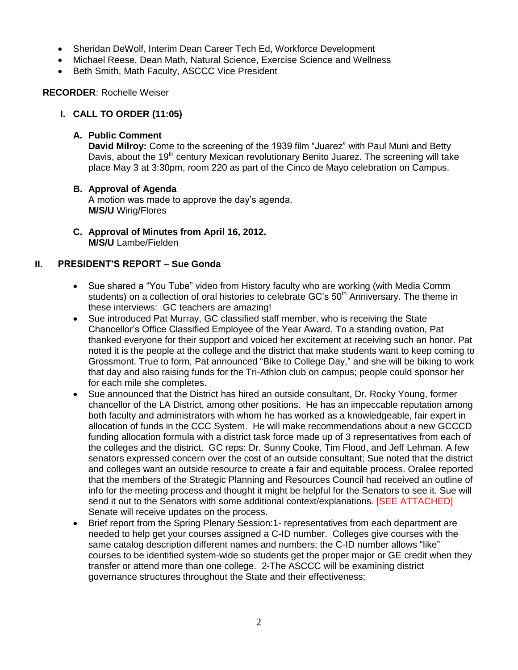- Sheridan DeWolf, Interim Dean Career Tech Ed, Workforce Development
- Michael Reese, Dean Math, Natural Science, Exercise Science and Wellness
- Beth Smith, Math Faculty, ASCCC Vice President

### **RECORDER**: Rochelle Weiser

### **I. CALL TO ORDER (11:05)**

### **A. Public Comment**

**David Milroy:** Come to the screening of the 1939 film "Juarez" with Paul Muni and Betty Davis, about the 19<sup>th</sup> century Mexican revolutionary Benito Juarez. The screening will take place May 3 at 3:30pm, room 220 as part of the Cinco de Mayo celebration on Campus.

### **B. Approval of Agenda**

A motion was made to approve the day's agenda. **M/S/U** Wirig/Flores

**C. Approval of Minutes from April 16, 2012. M/S/U** Lambe/Fielden

### **II. PRESIDENT'S REPORT – Sue Gonda**

- Sue shared a "You Tube" video from History faculty who are working (with Media Comm students) on a collection of oral histories to celebrate GC's 50<sup>th</sup> Anniversary. The theme in these interviews: GC teachers are amazing!
- Sue introduced Pat Murray, GC classified staff member, who is receiving the State Chancellor's Office Classified Employee of the Year Award. To a standing ovation, Pat thanked everyone for their support and voiced her excitement at receiving such an honor. Pat noted it is the people at the college and the district that make students want to keep coming to Grossmont. True to form, Pat announced "Bike to College Day," and she will be biking to work that day and also raising funds for the Tri-Athlon club on campus; people could sponsor her for each mile she completes.
- Sue announced that the District has hired an outside consultant, Dr. Rocky Young, former chancellor of the LA District, among other positions. He has an impeccable reputation among both faculty and administrators with whom he has worked as a knowledgeable, fair expert in allocation of funds in the CCC System. He will make recommendations about a new GCCCD funding allocation formula with a district task force made up of 3 representatives from each of the colleges and the district. GC reps: Dr. Sunny Cooke, Tim Flood, and Jeff Lehman. A few senators expressed concern over the cost of an outside consultant; Sue noted that the district and colleges want an outside resource to create a fair and equitable process. Oralee reported that the members of the Strategic Planning and Resources Council had received an outline of info for the meeting process and thought it might be helpful for the Senators to see it. Sue will send it out to the Senators with some additional context/explanations. [SEE ATTACHED] Senate will receive updates on the process.
- Brief report from the Spring Plenary Session: 1- representatives from each department are needed to help get your courses assigned a C-ID number. Colleges give courses with the same catalog description different names and numbers; the C-ID number allows "like" courses to be identified system-wide so students get the proper major or GE credit when they transfer or attend more than one college. 2-The ASCCC will be examining district governance structures throughout the State and their effectiveness;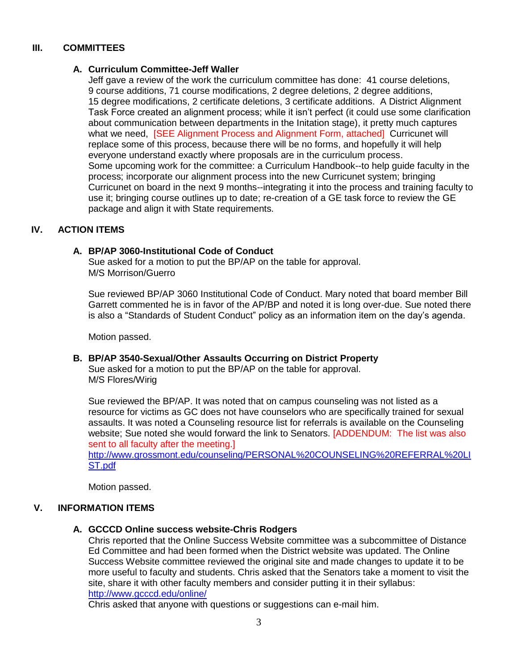### **III. COMMITTEES**

#### **A. Curriculum Committee-Jeff Waller**

Jeff gave a review of the work the curriculum committee has done: 41 course deletions, 9 course additions, 71 course modifications, 2 degree deletions, 2 degree additions, 15 degree modifications, 2 certificate deletions, 3 certificate additions. A District Alignment Task Force created an alignment process; while it isn't perfect (it could use some clarification about communication between departments in the Initation stage), it pretty much captures what we need, **[SEE Alignment Process and Alignment Form, attached]** Curricunet will replace some of this process, because there will be no forms, and hopefully it will help everyone understand exactly where proposals are in the curriculum process. Some upcoming work for the committee: a Curriculum Handbook--to help guide faculty in the process; incorporate our alignment process into the new Curricunet system; bringing Curricunet on board in the next 9 months--integrating it into the process and training faculty to use it; bringing course outlines up to date; re-creation of a GE task force to review the GE package and align it with State requirements.

### **IV. ACTION ITEMS**

#### **A. BP/AP 3060-Institutional Code of Conduct**

Sue asked for a motion to put the BP/AP on the table for approval. M/S Morrison/Guerro

Sue reviewed BP/AP 3060 Institutional Code of Conduct. Mary noted that board member Bill Garrett commented he is in favor of the AP/BP and noted it is long over-due. Sue noted there is also a "Standards of Student Conduct" policy as an information item on the day's agenda.

Motion passed.

#### **B. BP/AP 3540-Sexual/Other Assaults Occurring on District Property**

Sue asked for a motion to put the BP/AP on the table for approval. M/S Flores/Wirig

Sue reviewed the BP/AP. It was noted that on campus counseling was not listed as a resource for victims as GC does not have counselors who are specifically trained for sexual assaults. It was noted a Counseling resource list for referrals is available on the Counseling website; Sue noted she would forward the link to Senators. [ADDENDUM: The list was also sent to all faculty after the meeting.]

[http://www.grossmont.edu/counseling/PERSONAL%20COUNSELING%20REFERRAL%20LI](http://www.grossmont.edu/counseling/PERSONAL%20COUNSELING%20REFERRAL%20LIST.pdf) [ST.pdf](http://www.grossmont.edu/counseling/PERSONAL%20COUNSELING%20REFERRAL%20LIST.pdf)

Motion passed.

#### **V. INFORMATION ITEMS**

**A. GCCCD Online success website-Chris Rodgers**

Chris reported that the Online Success Website committee was a subcommittee of Distance Ed Committee and had been formed when the District website was updated. The Online Success Website committee reviewed the original site and made changes to update it to be more useful to faculty and students. Chris asked that the Senators take a moment to visit the site, share it with other faculty members and consider putting it in their syllabus: <http://www.gcccd.edu/online/>

Chris asked that anyone with questions or suggestions can e-mail him.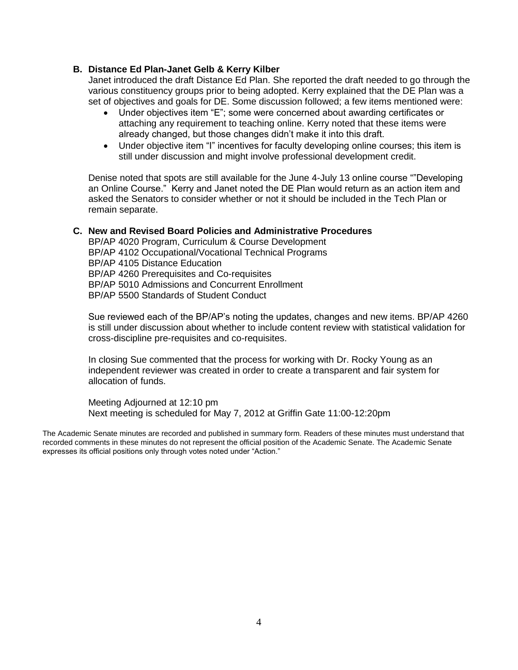#### **B. Distance Ed Plan-Janet Gelb & Kerry Kilber**

Janet introduced the draft Distance Ed Plan. She reported the draft needed to go through the various constituency groups prior to being adopted. Kerry explained that the DE Plan was a set of objectives and goals for DE. Some discussion followed; a few items mentioned were:

- Under objectives item "E"; some were concerned about awarding certificates or attaching any requirement to teaching online. Kerry noted that these items were already changed, but those changes didn't make it into this draft.
- Under objective item "I" incentives for faculty developing online courses; this item is still under discussion and might involve professional development credit.

Denise noted that spots are still available for the June 4-July 13 online course ""Developing an Online Course." Kerry and Janet noted the DE Plan would return as an action item and asked the Senators to consider whether or not it should be included in the Tech Plan or remain separate.

#### **C. New and Revised Board Policies and Administrative Procedures**

BP/AP 4020 Program, Curriculum & Course Development BP/AP 4102 Occupational/Vocational Technical Programs BP/AP 4105 Distance Education BP/AP 4260 Prerequisites and Co-requisites BP/AP 5010 Admissions and Concurrent Enrollment BP/AP 5500 Standards of Student Conduct

Sue reviewed each of the BP/AP's noting the updates, changes and new items. BP/AP 4260 is still under discussion about whether to include content review with statistical validation for cross-discipline pre-requisites and co-requisites.

In closing Sue commented that the process for working with Dr. Rocky Young as an independent reviewer was created in order to create a transparent and fair system for allocation of funds.

Meeting Adjourned at 12:10 pm Next meeting is scheduled for May 7, 2012 at Griffin Gate 11:00-12:20pm

The Academic Senate minutes are recorded and published in summary form. Readers of these minutes must understand that recorded comments in these minutes do not represent the official position of the Academic Senate. The Academic Senate expresses its official positions only through votes noted under "Action."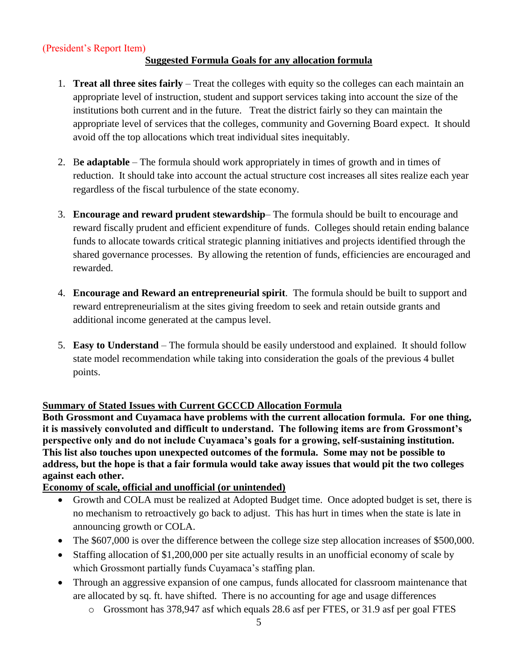### (President's Report Item)

### **Suggested Formula Goals for any allocation formula**

- 1. **Treat all three sites fairly** Treat the colleges with equity so the colleges can each maintain an appropriate level of instruction, student and support services taking into account the size of the institutions both current and in the future. Treat the district fairly so they can maintain the appropriate level of services that the colleges, community and Governing Board expect. It should avoid off the top allocations which treat individual sites inequitably.
- 2. B**e adaptable** The formula should work appropriately in times of growth and in times of reduction. It should take into account the actual structure cost increases all sites realize each year regardless of the fiscal turbulence of the state economy.
- 3. **Encourage and reward prudent stewardship** The formula should be built to encourage and reward fiscally prudent and efficient expenditure of funds. Colleges should retain ending balance funds to allocate towards critical strategic planning initiatives and projects identified through the shared governance processes. By allowing the retention of funds, efficiencies are encouraged and rewarded.
- 4. **Encourage and Reward an entrepreneurial spirit**. The formula should be built to support and reward entrepreneurialism at the sites giving freedom to seek and retain outside grants and additional income generated at the campus level.
- 5. **Easy to Understand** The formula should be easily understood and explained. It should follow state model recommendation while taking into consideration the goals of the previous 4 bullet points.

### **Summary of Stated Issues with Current GCCCD Allocation Formula**

**Both Grossmont and Cuyamaca have problems with the current allocation formula. For one thing, it is massively convoluted and difficult to understand. The following items are from Grossmont's perspective only and do not include Cuyamaca's goals for a growing, self-sustaining institution. This list also touches upon unexpected outcomes of the formula. Some may not be possible to address, but the hope is that a fair formula would take away issues that would pit the two colleges against each other.** 

### **Economy of scale, official and unofficial (or unintended)**

- Growth and COLA must be realized at Adopted Budget time. Once adopted budget is set, there is no mechanism to retroactively go back to adjust. This has hurt in times when the state is late in announcing growth or COLA.
- The \$607,000 is over the difference between the college size step allocation increases of \$500,000.
- Staffing allocation of \$1,200,000 per site actually results in an unofficial economy of scale by which Grossmont partially funds Cuyamaca's staffing plan.
- Through an aggressive expansion of one campus, funds allocated for classroom maintenance that are allocated by sq. ft. have shifted. There is no accounting for age and usage differences
	- o Grossmont has 378,947 asf which equals 28.6 asf per FTES, or 31.9 asf per goal FTES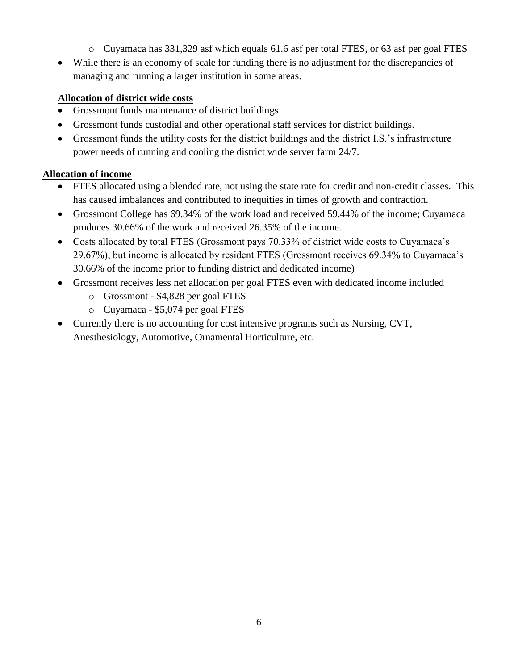- o Cuyamaca has 331,329 asf which equals 61.6 asf per total FTES, or 63 asf per goal FTES
- While there is an economy of scale for funding there is no adjustment for the discrepancies of managing and running a larger institution in some areas.

### **Allocation of district wide costs**

- Grossmont funds maintenance of district buildings.
- Grossmont funds custodial and other operational staff services for district buildings.
- Grossmont funds the utility costs for the district buildings and the district I.S.'s infrastructure power needs of running and cooling the district wide server farm 24/7.

### **Allocation of income**

- FTES allocated using a blended rate, not using the state rate for credit and non-credit classes. This has caused imbalances and contributed to inequities in times of growth and contraction.
- Grossmont College has 69.34% of the work load and received 59.44% of the income; Cuyamaca produces 30.66% of the work and received 26.35% of the income.
- Costs allocated by total FTES (Grossmont pays 70.33% of district wide costs to Cuyamaca's 29.67%), but income is allocated by resident FTES (Grossmont receives 69.34% to Cuyamaca's 30.66% of the income prior to funding district and dedicated income)
- Grossmont receives less net allocation per goal FTES even with dedicated income included
	- o Grossmont \$4,828 per goal FTES
	- o Cuyamaca \$5,074 per goal FTES
- Currently there is no accounting for cost intensive programs such as Nursing, CVT, Anesthesiology, Automotive, Ornamental Horticulture, etc.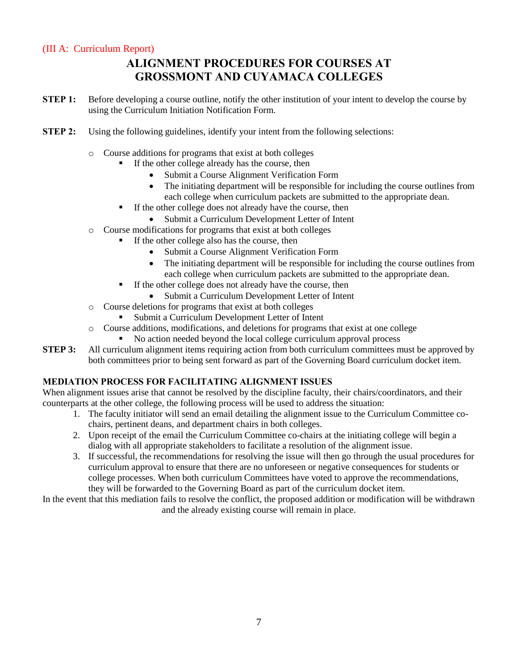### (III A: Curriculum Report)

### **ALIGNMENT PROCEDURES FOR COURSES AT GROSSMONT AND CUYAMACA COLLEGES**

- **STEP 1:** Before developing a course outline, notify the other institution of your intent to develop the course by using the Curriculum Initiation Notification Form.
- **STEP 2:** Using the following guidelines, identify your intent from the following selections:
	- o Course additions for programs that exist at both colleges
		- If the other college already has the course, then
			- Submit a Course Alignment Verification Form
				- The initiating department will be responsible for including the course outlines from each college when curriculum packets are submitted to the appropriate dean.
		- $\blacksquare$  If the other college does not already have the course, then
			- Submit a Curriculum Development Letter of Intent
	- o Course modifications for programs that exist at both colleges
		- If the other college also has the course, then
			- Submit a Course Alignment Verification Form
			- The initiating department will be responsible for including the course outlines from each college when curriculum packets are submitted to the appropriate dean.
		- If the other college does not already have the course, then
			- Submit a Curriculum Development Letter of Intent
	- o Course deletions for programs that exist at both colleges
		- Submit a Curriculum Development Letter of Intent
	- o Course additions, modifications, and deletions for programs that exist at one college
		- No action needed beyond the local college curriculum approval process
- **STEP 3:** All curriculum alignment items requiring action from both curriculum committees must be approved by both committees prior to being sent forward as part of the Governing Board curriculum docket item.

### **MEDIATION PROCESS FOR FACILITATING ALIGNMENT ISSUES**

When alignment issues arise that cannot be resolved by the discipline faculty, their chairs/coordinators, and their counterparts at the other college, the following process will be used to address the situation:

- 1. The faculty initiator will send an email detailing the alignment issue to the Curriculum Committee cochairs, pertinent deans, and department chairs in both colleges.
- 2. Upon receipt of the email the Curriculum Committee co-chairs at the initiating college will begin a dialog with all appropriate stakeholders to facilitate a resolution of the alignment issue.
- 3. If successful, the recommendations for resolving the issue will then go through the usual procedures for curriculum approval to ensure that there are no unforeseen or negative consequences for students or college processes. When both curriculum Committees have voted to approve the recommendations, they will be forwarded to the Governing Board as part of the curriculum docket item.

In the event that this mediation fails to resolve the conflict, the proposed addition or modification will be withdrawn and the already existing course will remain in place.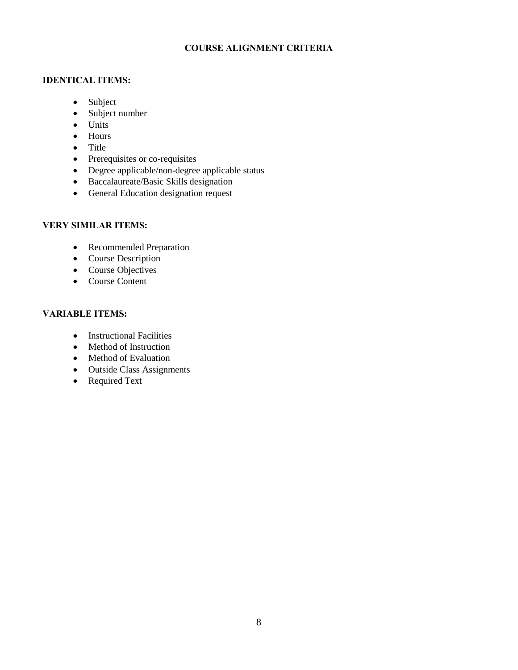### **COURSE ALIGNMENT CRITERIA**

#### **IDENTICAL ITEMS:**

- Subject
- Subject number
- Units
- Hours
- $\bullet$  Title
- Prerequisites or co-requisites
- Degree applicable/non-degree applicable status
- Baccalaureate/Basic Skills designation
- General Education designation request

### **VERY SIMILAR ITEMS:**

- Recommended Preparation
- Course Description
- Course Objectives
- Course Content

### **VARIABLE ITEMS:**

- Instructional Facilities
- Method of Instruction
- Method of Evaluation
- Outside Class Assignments
- Required Text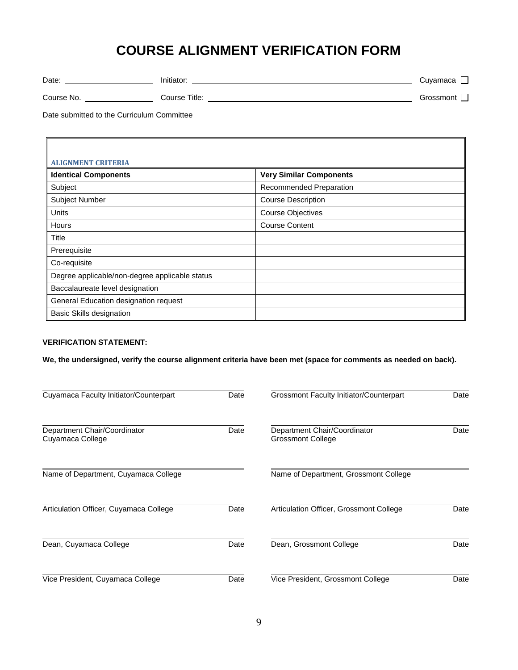## **COURSE ALIGNMENT VERIFICATION FORM**

| Date:      | Initiator:    | Cuyamaca               |
|------------|---------------|------------------------|
| Course No. | Course Title: | Grossmont <sup>1</sup> |

Date submitted to the Curriculum Committee

Г

| <b>ALIGNMENT CRITERIA</b>                      |                                |
|------------------------------------------------|--------------------------------|
| <b>Identical Components</b>                    | <b>Very Similar Components</b> |
| Subject                                        | Recommended Preparation        |
| <b>Subject Number</b>                          | <b>Course Description</b>      |
| Units                                          | <b>Course Objectives</b>       |
| Hours                                          | <b>Course Content</b>          |
| Title                                          |                                |
| Prerequisite                                   |                                |
| Co-requisite                                   |                                |
| Degree applicable/non-degree applicable status |                                |
| Baccalaureate level designation                |                                |
| General Education designation request          |                                |
| <b>Basic Skills designation</b>                |                                |

#### **VERIFICATION STATEMENT:**

**We, the undersigned, verify the course alignment criteria have been met (space for comments as needed on back).** 

| Cuyamaca Faculty Initiator/Counterpart           | Date | <b>Grossmont Faculty Initiator/Counterpart</b>           | Date |
|--------------------------------------------------|------|----------------------------------------------------------|------|
| Department Chair/Coordinator<br>Cuyamaca College | Date | Department Chair/Coordinator<br><b>Grossmont College</b> | Date |
| Name of Department, Cuyamaca College             |      | Name of Department, Grossmont College                    |      |
| Articulation Officer, Cuyamaca College           | Date | Articulation Officer, Grossmont College                  | Date |
| Dean, Cuyamaca College                           | Date | Dean, Grossmont College                                  | Date |
| Vice President, Cuyamaca College                 | Date | Vice President, Grossmont College                        | Date |